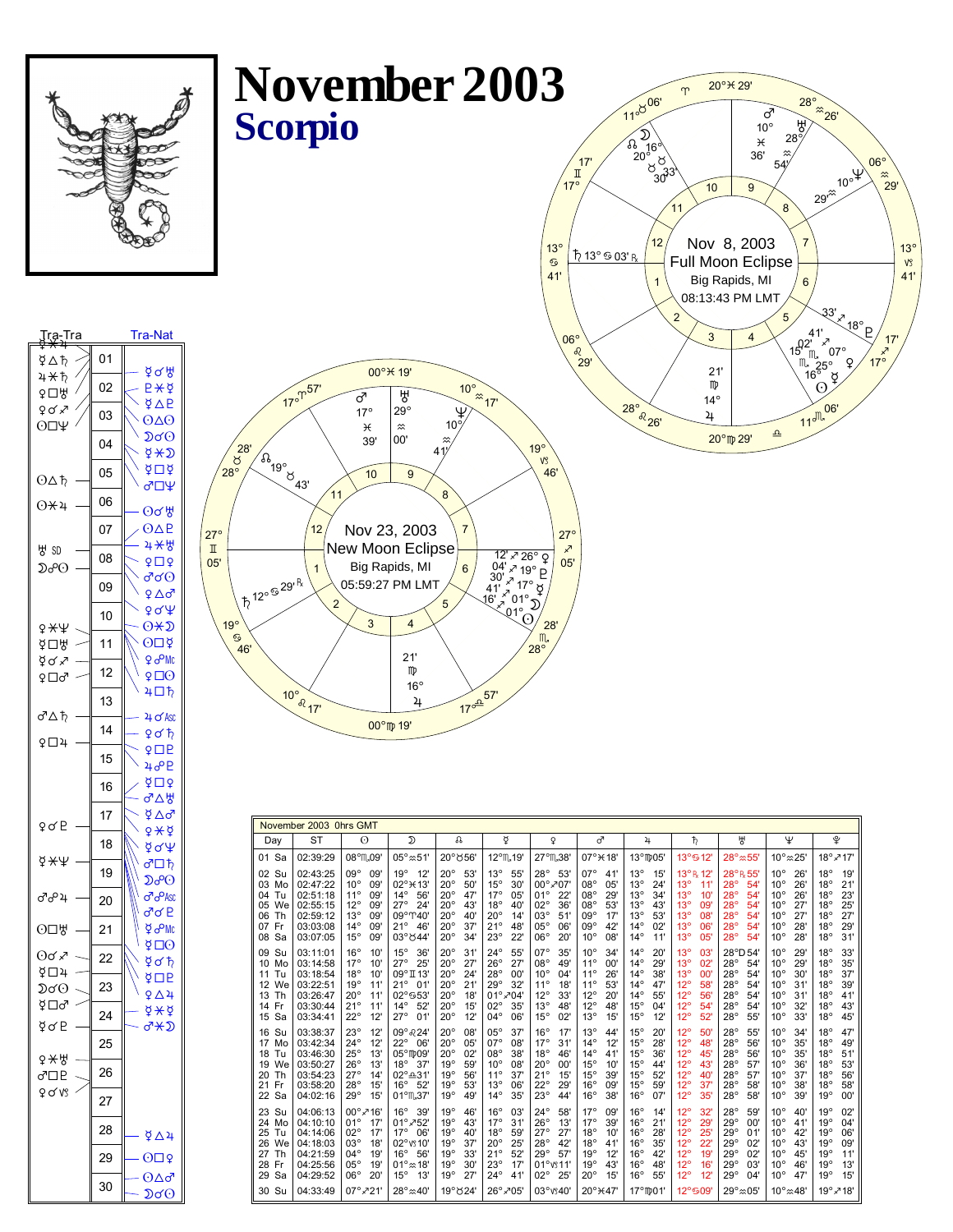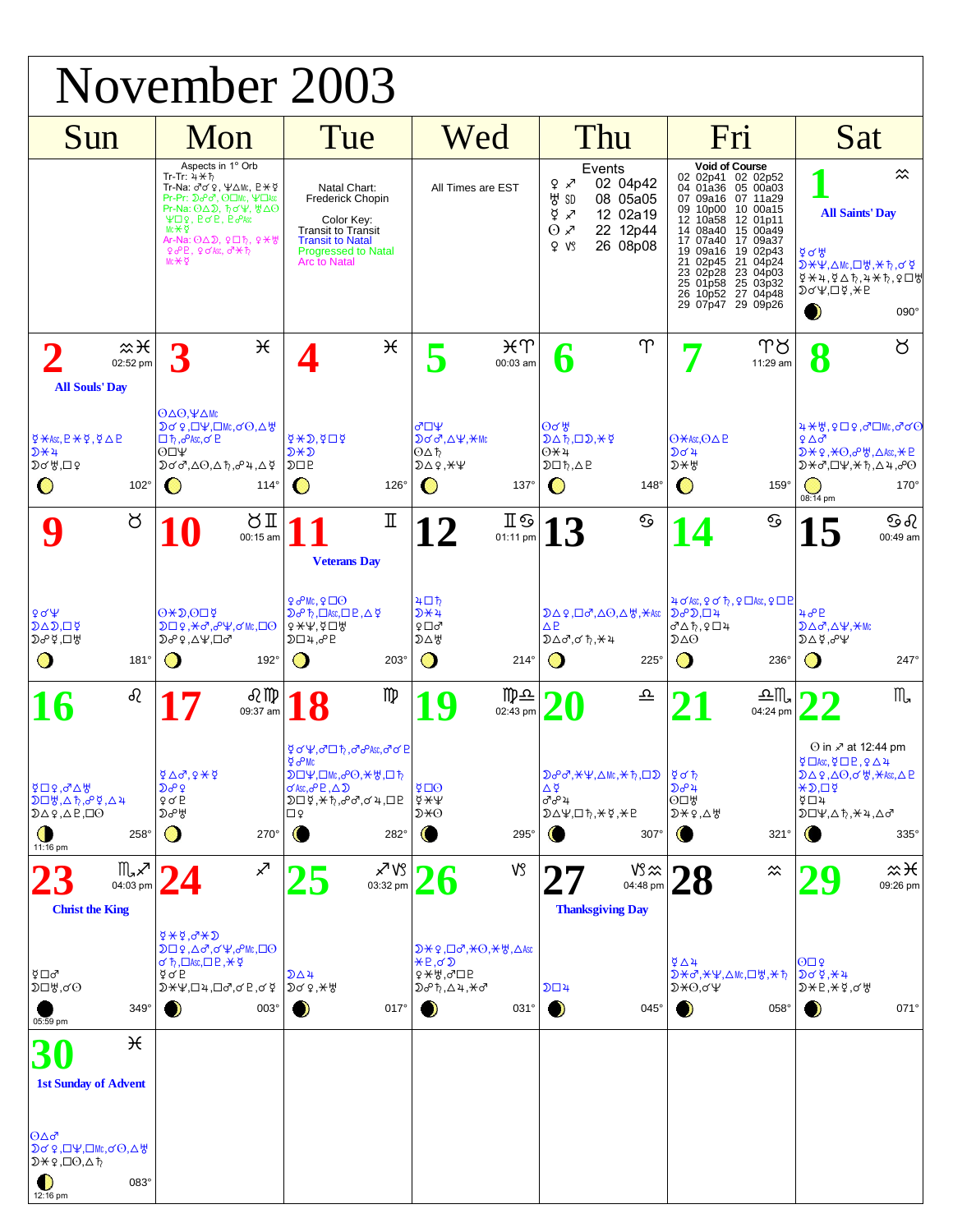| November 2003                                                                                                                                                                              |                                                                                                                                                                                                                                                                                                                                                                                                                             |                                                                                                                                                                                                                     |                                                                                                                                                       |                                                                                                                                                                                         |                                                                                                                                                                                                                                                                                                                                         |                                                                                                                                                                                                                                                                                                                              |  |  |  |  |
|--------------------------------------------------------------------------------------------------------------------------------------------------------------------------------------------|-----------------------------------------------------------------------------------------------------------------------------------------------------------------------------------------------------------------------------------------------------------------------------------------------------------------------------------------------------------------------------------------------------------------------------|---------------------------------------------------------------------------------------------------------------------------------------------------------------------------------------------------------------------|-------------------------------------------------------------------------------------------------------------------------------------------------------|-----------------------------------------------------------------------------------------------------------------------------------------------------------------------------------------|-----------------------------------------------------------------------------------------------------------------------------------------------------------------------------------------------------------------------------------------------------------------------------------------------------------------------------------------|------------------------------------------------------------------------------------------------------------------------------------------------------------------------------------------------------------------------------------------------------------------------------------------------------------------------------|--|--|--|--|
| Sun                                                                                                                                                                                        | Mon                                                                                                                                                                                                                                                                                                                                                                                                                         | Tue                                                                                                                                                                                                                 | Wed                                                                                                                                                   | Thu                                                                                                                                                                                     | Fri                                                                                                                                                                                                                                                                                                                                     | Sat                                                                                                                                                                                                                                                                                                                          |  |  |  |  |
|                                                                                                                                                                                            | Aspects in 1° Orb<br>$Tr-Tr: 4 \star \uparrow$<br>Tr-Na: $\sigma \circ \varphi$ , $\Psi \triangle Mc$ , $P \times \varphi$<br>Pr-Pr: ∑&ď, ⊙□Mc, ¥□Asc<br>Pr-Na: $\Theta \Delta \mathcal{D}$ , $\hbar \sigma \Psi$ , $\hbar \Delta \Theta$<br>$\Psi \Box \varphi$ , $P \sigma P$ , $P \sigma P$ Asc<br>Mc $\star$ ₫<br>Ar-Na: $\Theta \Delta \mathcal{D}$ , $9 \Box \hbar$ , $9 \del{H}$<br>96P, 90K, 07H<br>Mc <sub>*</sub> | Natal Chart:<br><b>Frederick Chopin</b><br>Color Key:<br>Transit to Transit<br><b>Transit to Natal</b><br><b>Progressed to Natal</b><br><b>Arc</b> to Natal                                                         | All Times are EST                                                                                                                                     | Events<br>02 04p42<br>$9 \times$<br>방 SD<br>08 05a05<br>₫<br>12 02a19<br>↗<br>$\odot \times$<br>22 12p44<br>26 08p08<br>2 VS                                                            | <b>Void of Course</b><br>02 02p41 02 02p52<br>04 01a36 05 00a03<br>07 09a16 07 11a29<br>09 10p00<br>10 00a15<br>10a58<br>12 01p11<br>12<br>14 08a40 15 00a49<br>17 07a40<br>17 09a37<br>19 09a16<br>19 02p43<br>21 04p24<br>21 02p45<br>23 04p03<br>23 02p28<br>25 03p32<br>25 01p58<br>27 04p48<br>26<br>10p52<br>29 09p26<br>29 07p47 | $\approx$<br><b>All Saints' Day</b><br><u> ४</u> ९ भ<br>D\Y,△Mc,□₩,★ħ,♂¥<br><sub>보</sub> 0 4 3 4 4 5 4 5 4 5 4 5 4 5 4 5 4 5<br>$D$ o'\!, $D$ \!, $E$<br>$\bullet$<br>090°                                                                                                                                                   |  |  |  |  |
| $x\times$<br>02:52 pm<br><b>All Souls' Day</b>                                                                                                                                             | $\mathcal{H}$                                                                                                                                                                                                                                                                                                                                                                                                               | $\mathcal{H}$                                                                                                                                                                                                       | ¥ጥ<br>00:03 am                                                                                                                                        | $\Upsilon$<br>D                                                                                                                                                                         | Ͳ୪<br>11:29 am                                                                                                                                                                                                                                                                                                                          | ŏ<br>Q<br>Ō                                                                                                                                                                                                                                                                                                                  |  |  |  |  |
| $\overleftrightarrow{\phi}$ $\overline{\star}$ Asc, $P \star \overline{\phi}$ , $\overline{\phi}$ $\Delta P$<br>$D+4$<br>$D$ o' $H$ , $D$ ?<br>$102^\circ$<br>$\bf{O}$                     | $O\Delta O$ , $\Psi\Delta Mc$<br>DQ?,□\,□\,u,a(⊙,△\<br>□ħ, <b><i>PAsc</i></b> , イロ<br>$O\square\Psi$<br>$D$ ơơ, $\Delta$ O, $\Delta$ ħ, $\sigma$ 4, $\Delta$ ጀ<br>$114^\circ$<br>$\cup$                                                                                                                                                                                                                                     | $4 \times D$ , $4 \Box 4$<br>D¥D<br>$D\Box P$<br>O<br>$126^\circ$                                                                                                                                                   | ৵□Ψ<br><b>Дод,∆</b> Ѱ, <del>Ӿ</del> мс<br>ΘΔħ<br>$D\Delta$ ?, $\star$ $\Psi$<br>$137^\circ$<br>$\mathbf O$                                            | $\Theta$ ơ ង៉<br>$D\Delta b$ , $D$ ), $\star$ $\circ$<br>$0+4$<br>$D\Box b, \Delta P$<br>Ő<br>$148^\circ$                                                                               | $O$ $\star$ Asc, $O \triangle P$<br>১৭ স<br>$D+A$<br>O<br>$159^\circ$                                                                                                                                                                                                                                                                   | <b>4 <del>X</del> \}</b> , Q □ Q ,♂□Mc,♂♂○<br>$9\Delta\sigma$<br>$D \star Q, \star O, \sigma \forall A \in \mathbb{R}$ . $\Delta$ Asc, $\star P$<br>$D*J+J+K+J+J+J$<br>$170^\circ$<br>$\cup$<br>08:14 pm                                                                                                                     |  |  |  |  |
| ୪                                                                                                                                                                                          | ŏΙ<br>00:15 am                                                                                                                                                                                                                                                                                                                                                                                                              | Π<br><b>Veterans Day</b>                                                                                                                                                                                            | ∏⊗<br>$\mathbf{Z}$<br>01:11 pm                                                                                                                        | ତ<br>13                                                                                                                                                                                 | ତ<br>4                                                                                                                                                                                                                                                                                                                                  | ව ව<br>15<br>00:49 am                                                                                                                                                                                                                                                                                                        |  |  |  |  |
| 904<br>$D \triangle D, \Box \nsubseteq$<br>≫ა დად<br>O<br>$181^\circ$                                                                                                                      | $O + D.ODY$<br><b>₯</b> <del> » »</del><br>₯₧,∆Ѱ,□♂<br>O<br>$192^\circ$                                                                                                                                                                                                                                                                                                                                                     | 90Mc, 900<br>$D\sigma$ $\uparrow$ , $\Box$ Asc, $\Box$ $P$ , $\Delta \not\subset$<br>$9$ $\star$ $4$ , $9$ $\Box$ $9$<br>$D\square$ 4, $o$ <sup>D</sup><br>( )<br>203°                                              | ৸□ħ<br>$D+4$<br>₽□♂<br>እ⊽ឩ<br>$\mathbf O$<br>$214^\circ$                                                                                              | $D\Delta$ ?, $\Box$ $\sigma$ <sup>7</sup> , $\Delta$ $\Theta$ , $\Delta$ $\forall$ <i>f</i> , $\forall$ Asc<br>$\triangle P$<br>$D\Delta\sigma,\sigma\hbar,\star$ 4<br>O<br>$225^\circ$ | $4$ of Asc, $9$ of $7$ , $9$ $\Box$ Asc, $9$ $\Box$ $P$<br>$D \partial^2 D \Box 4$<br>♂∆ħ,♀□4<br>D∆⊙<br>$\bigcap$<br>$236^\circ$                                                                                                                                                                                                        | 40P<br>$D\Delta\sigma$ , $\Delta\Psi$ , $+Mc$<br>49.94<br>$\bigcirc$<br>247°                                                                                                                                                                                                                                                 |  |  |  |  |
| ୡ                                                                                                                                                                                          | R ID<br>09:37 am                                                                                                                                                                                                                                                                                                                                                                                                            | m<br>ቑ♂¥,♂□ħ,♂%**,♂♂P                                                                                                                                                                                               | ∏ு<br>02:43 pm                                                                                                                                        | 으                                                                                                                                                                                       | ച∏<br>04:24 pm                                                                                                                                                                                                                                                                                                                          | $M_{\bullet}$<br>⊙ in 2 at 12:44 pm                                                                                                                                                                                                                                                                                          |  |  |  |  |
| $\beta \Box \varphi$ , $\sigma \Delta \varphi$<br>$D\Box \nexists$ , $\Diamond$ , $\Diamond$ $\Diamond$ , $\Diamond$ 4<br>$D\Delta$ ?, $\Delta$ P, $\Box$ $\odot$<br>O<br>258°<br>11:16 pm | $4\Delta\sigma$ , $9\star\phi$<br>$D^o$<br>90E<br>Doo H<br>O<br>270°                                                                                                                                                                                                                                                                                                                                                        | $\frac{1}{2}$ $\sigma$ Mc<br>$D\Pi\Psi$ , $\Box$ Mc, $\partial$ $\Theta$ , $\star$ $\forall$ , $\Box$ $\uparrow$<br>$\sigma$ Asc, $\sigma$ <sup>o</sup> P, $\Delta$ $\mathfrak{D}$<br>D□⊈,*ħ,♂♂,♂4,□P<br>⊡♀<br>282° | ই⊡⊙<br>$\frac{1}{2}$ $\frac{1}{2}$<br>D¥⊙<br>295°<br>O                                                                                                | $Do^o\sigma$ , $\star\Psi$ , $\Delta$ Mc, $\star$ $\hbar$ , $\square$ $D$<br>Δğ<br>ೆಂº 4<br>$D\Delta\Psi$ , $D\hbar$ , $\star$ $\Sigma$ , $\star$ P<br>$307^\circ$                      | $\frac{5}{4}$ of $\frac{1}{2}$<br>১৯৯<br>O <sub>Q</sub><br>$D X 9, \Delta Y$<br>O<br>321°                                                                                                                                                                                                                                               | $\overline{9}$ $\Box$ Asc, $\overline{9}$ $\Box$ $\Box$ $\Box$ $\Box$ $\Box$ $\Box$ $\Box$<br>$D\Delta$ ?, $\Delta$ $O$ , $\sigma$ $\forall$ , $\forall$ Asc, $\Delta$ P<br>$\star$ $\Sigma$ . $\square$ $\Sigma$<br>$\overline{9}$ $\Box$ $\overline{4}$<br>$D\Pi\Psi, \Delta\hbar, \forall 4, \Delta\sigma$<br>$335^\circ$ |  |  |  |  |
| ℿℳ<br>04:03 pm<br><b>Christ the King</b>                                                                                                                                                   | ↗<br>$Q+Q$ , $Q+Q$                                                                                                                                                                                                                                                                                                                                                                                                          | ∡7 \\}<br>03:32 pm                                                                                                                                                                                                  | VS                                                                                                                                                    | $VS \approx$<br>04:48 pm<br><b>Thanksgiving Day</b>                                                                                                                                     | $\approx$                                                                                                                                                                                                                                                                                                                               | $x\times$<br>09:26 pm                                                                                                                                                                                                                                                                                                        |  |  |  |  |
| ∛⊡∂<br>D□₩,♂⊙<br>$349^\circ$<br>05:59 pm                                                                                                                                                   | <b>D</b> □♀,△♂,♂¥,♂№,□⊙<br>$\sigma$ $\uparrow$ , $\Box$ Asc, $\Box$ $\Box$ $\Box$ $\leftrightarrow$ $\Diamond$<br>⊈ơ B<br>$D$ * $\Psi$ , $\Box$ 4, $\Box$ $\sigma$ , $\sigma$ $R$ , $\sigma$ $\Phi$<br>003°<br>- 2                                                                                                                                                                                                          | D∆4<br>$DQQ, *R$<br>$017^\circ$<br>$\bullet$                                                                                                                                                                        | $D \star$ ?, $D \sigma$ , $\star$ $\Theta$ , $\star$ $\forall$ , $\Delta$ Asc<br>$E, \sigma$<br>ያ*∀,♂□P<br>₯₧,∆4, <del>X</del> ♂<br>$\bullet$<br>031° | $D\square 4$<br>$\bullet$<br>045°                                                                                                                                                       | $\frac{6}{4}$<br>D*♂, *¥, △Mc, 口 }, * ħ<br>$D*O, \sigma\Psi$<br>$\bullet$<br>058°                                                                                                                                                                                                                                                       | $\Theta \Box 9$<br>$DG4, *4$<br>$D \star P, \star \notin C$<br>$\bullet$<br>071°                                                                                                                                                                                                                                             |  |  |  |  |
| ₩<br><b>1st Sunday of Advent</b>                                                                                                                                                           |                                                                                                                                                                                                                                                                                                                                                                                                                             |                                                                                                                                                                                                                     |                                                                                                                                                       |                                                                                                                                                                                         |                                                                                                                                                                                                                                                                                                                                         |                                                                                                                                                                                                                                                                                                                              |  |  |  |  |
| ∣⊙∆♂<br>$D$ ơ ♀,□¥,□Mc,ơ $O, \Delta$<br>$D$ $\star$ ?, $\Box$ $\odot$ , $\Delta$ $\uparrow$<br>$\bullet$<br>083°<br>12:16 pm                                                               |                                                                                                                                                                                                                                                                                                                                                                                                                             |                                                                                                                                                                                                                     |                                                                                                                                                       |                                                                                                                                                                                         |                                                                                                                                                                                                                                                                                                                                         |                                                                                                                                                                                                                                                                                                                              |  |  |  |  |